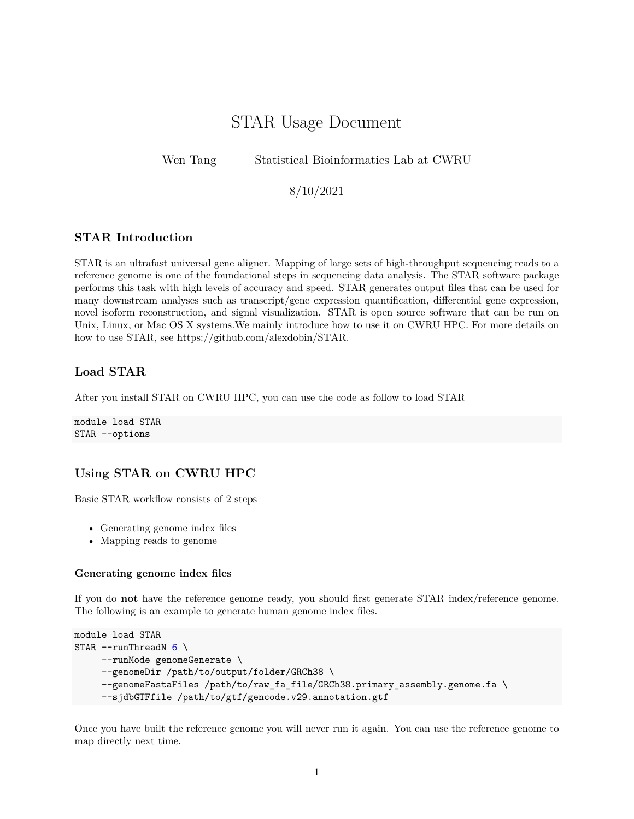# STAR Usage Document

Wen Tang Statistical Bioinformatics Lab at CWRU

8/10/2021

## **STAR Introduction**

STAR is an ultrafast universal gene aligner. Mapping of large sets of high-throughput sequencing reads to a reference genome is one of the foundational steps in sequencing data analysis. The STAR software package performs this task with high levels of accuracy and speed. STAR generates output files that can be used for many downstream analyses such as transcript/gene expression quantification, differential gene expression, novel isoform reconstruction, and signal visualization. STAR is open source software that can be run on Unix, Linux, or Mac OS X systems.We mainly introduce how to use it on CWRU HPC. For more details on how to use STAR, see [https://github.com/alexdobin/STAR.](https://github.com/alexdobin/STAR)

## **Load STAR**

After you install STAR on CWRU HPC, you can use the code as follow to load STAR

module load STAR STAR --options

## **Using STAR on CWRU HPC**

Basic STAR workflow consists of 2 steps

- Generating genome index files
- Mapping reads to genome

#### **Generating genome index files**

If you do **not** have the reference genome ready, you should first generate STAR index/reference genome. The following is an example to generate human genome index files.

```
module load STAR
STAR --runThreadN 6 \ \ \ \--runMode genomeGenerate \
     --genomeDir /path/to/output/folder/GRCh38 \
     --genomeFastaFiles /path/to/raw_fa_file/GRCh38.primary_assembly.genome.fa \
     --sjdbGTFfile /path/to/gtf/gencode.v29.annotation.gtf
```
Once you have built the reference genome you will never run it again. You can use the reference genome to map directly next time.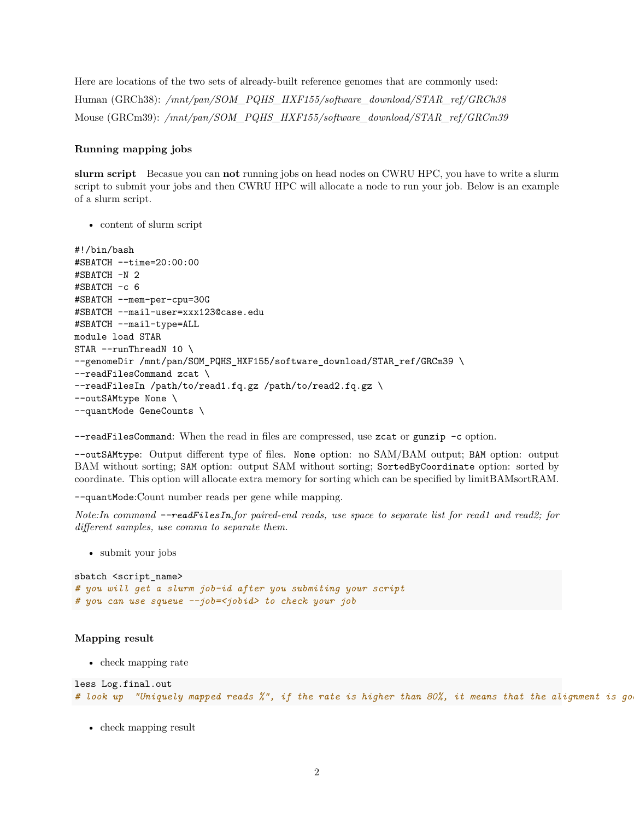Here are locations of the two sets of already-built reference genomes that are commonly used: Human (GRCh38): */mnt/pan/SOM\_PQHS\_HXF155/software\_download/STAR\_ref/GRCh38* Mouse (GRCm39): */mnt/pan/SOM\_PQHS\_HXF155/software\_download/STAR\_ref/GRCm39*

#### **Running mapping jobs**

**slurm script** Becasue you can **not** running jobs on head nodes on CWRU HPC, you have to write a slurm script to submit your jobs and then CWRU HPC will allocate a node to run your job. Below is an example of a slurm script.

• content of slurm script

```
#!/bin/bash
#SBATCH --time=20:00:00
#SBATCH -N 2
#SBATCH -c 6
#SBATCH --mem-per-cpu=30G
#SBATCH --mail-user=xxx123@case.edu
#SBATCH --mail-type=ALL
module load STAR
STAR --runThreadN 10 \ \ \ \ \--genomeDir /mnt/pan/SOM_PQHS_HXF155/software_download/STAR_ref/GRCm39 \
--readFilesCommand zcat \
--readFilesIn /path/to/read1.fq.gz /path/to/read2.fq.gz \
--outSAMtype None \
--quantMode GeneCounts \
```
--readFilesCommand: When the read in files are compressed, use zcat or gunzip -c option.

--outSAMtype: Output different type of files. None option: no SAM/BAM output; BAM option: output BAM without sorting; SAM option: output SAM without sorting; SortedByCoordinate option: sorted by coordinate. This option will allocate extra memory for sorting which can be specified by limitBAMsortRAM.

--quantMode:Count number reads per gene while mapping.

*Note:In command --readFilesIn,for paired-end reads, use space to separate list for read1 and read2; for different samples, use comma to separate them.*

• submit your jobs

```
sbatch <script name>
# you will get a slurm job-id after you submiting your script
# you can use squeue --job=<jobid> to check your job
```
#### **Mapping result**

• check mapping rate

```
less Log.final.out
# look up "Uniquely mapped reads %", if the rate is higher than 80%, it means that the alignment is good.
```
• check mapping result